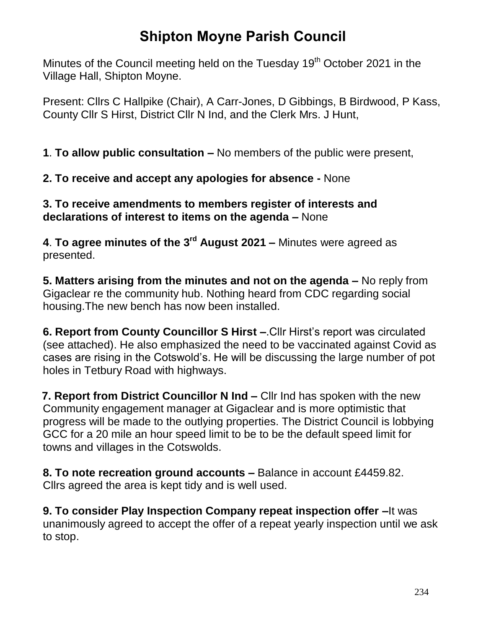## **Shipton Moyne Parish Council**

Minutes of the Council meeting held on the Tuesday  $19<sup>th</sup>$  October 2021 in the Village Hall, Shipton Moyne.

Present: Cllrs C Hallpike (Chair), A Carr-Jones, D Gibbings, B Birdwood, P Kass, County Cllr S Hirst, District Cllr N Ind, and the Clerk Mrs. J Hunt,

**1**. **To allow public consultation –** No members of the public were present,

**2. To receive and accept any apologies for absence -** None

#### **3. To receive amendments to members register of interests and declarations of interest to items on the agenda –** None

**4**. **To agree minutes of the 3 rd August 2021 –** Minutes were agreed as presented.

**5. Matters arising from the minutes and not on the agenda –** No reply from Gigaclear re the community hub. Nothing heard from CDC regarding social housing.The new bench has now been installed.

**6. Report from County Councillor S Hirst –**.Cllr Hirst's report was circulated (see attached). He also emphasized the need to be vaccinated against Covid as cases are rising in the Cotswold's. He will be discussing the large number of pot holes in Tetbury Road with highways.

 **7. Report from District Councillor N Ind –** Cllr Ind has spoken with the new Community engagement manager at Gigaclear and is more optimistic that progress will be made to the outlying properties. The District Council is lobbying GCC for a 20 mile an hour speed limit to be to be the default speed limit for towns and villages in the Cotswolds.

**8. To note recreation ground accounts –** Balance in account £4459.82. Cllrs agreed the area is kept tidy and is well used.

**9. To consider Play Inspection Company repeat inspection offer –**It was unanimously agreed to accept the offer of a repeat yearly inspection until we ask to stop.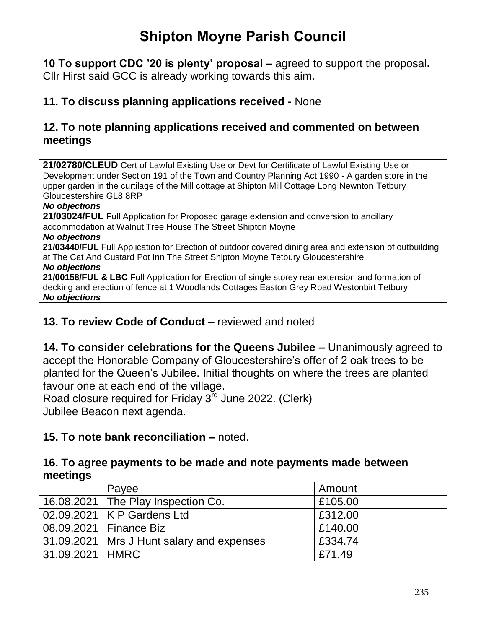# **Shipton Moyne Parish Council**

**10 To support CDC '20 is plenty' proposal –** agreed to support the proposal**.**  Cllr Hirst said GCC is already working towards this aim.

### **11. To discuss planning applications received -** None

#### **12. To note planning applications received and commented on between meetings**

**21/02780/CLEUD** Cert of Lawful Existing Use or Devt for Certificate of Lawful Existing Use or Development under Section 191 of the Town and Country Planning Act 1990 - A garden store in the upper garden in the curtilage of the Mill cottage at Shipton Mill Cottage Long Newnton Tetbury Gloucestershire GL8 8RP

#### *No objections*

**21/03024/FUL** Full Application for Proposed garage extension and conversion to ancillary accommodation at Walnut Tree House The Street Shipton Moyne *No objections* **21/03440/FUL** Full Application for Erection of outdoor covered dining area and extension of outbuilding at The Cat And Custard Pot Inn The Street Shipton Moyne Tetbury Gloucestershire *No objections* **21/00158/FUL & LBC** Full Application for Erection of single storey rear extension and formation of decking and erection of fence at 1 Woodlands Cottages Easton Grey Road Westonbirt Tetbury *No objections*

#### **13. To review Code of Conduct –** reviewed and noted

**14. To consider celebrations for the Queens Jubilee –** Unanimously agreed to accept the Honorable Company of Gloucestershire's offer of 2 oak trees to be planted for the Queen's Jubilee. Initial thoughts on where the trees are planted favour one at each end of the village.

Road closure required for Friday  $3^{\overline{r}d}$  June 2022. (Clerk) Jubilee Beacon next agenda.

#### **15. To note bank reconciliation –** noted.

#### **16. To agree payments to be made and note payments made between meetings**

|                   | Payee                                       | Amount  |
|-------------------|---------------------------------------------|---------|
|                   | 16.08.2021   The Play Inspection Co.        | £105.00 |
|                   | 02.09.2021   K P Gardens Ltd                | £312.00 |
|                   | 08.09.2021   Finance Biz                    | £140.00 |
|                   | 31.09.2021   Mrs J Hunt salary and expenses | £334.74 |
| 31.09.2021   HMRC |                                             | £71.49  |